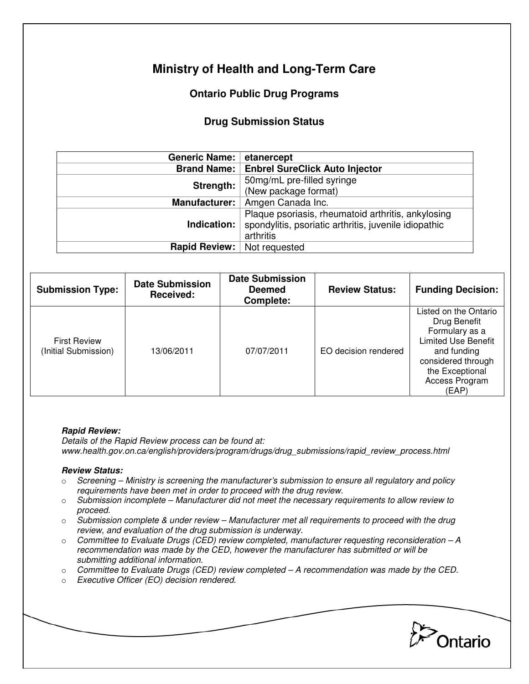# **Ministry of Health and Long-Term Care**

## **Ontario Public Drug Programs**

### **Drug Submission Status**

| <b>Generic Name:</b> | etanercept                                            |  |  |
|----------------------|-------------------------------------------------------|--|--|
| <b>Brand Name:</b>   | <b>Enbrel SureClick Auto Injector</b>                 |  |  |
| Strength:            | 50mg/mL pre-filled syringe                            |  |  |
|                      | (New package format)                                  |  |  |
| <b>Manufacturer:</b> | Amgen Canada Inc.                                     |  |  |
|                      | Plaque psoriasis, rheumatoid arthritis, ankylosing    |  |  |
| Indication:          | spondylitis, psoriatic arthritis, juvenile idiopathic |  |  |
|                      | arthritis                                             |  |  |
| Rapid Review:        | Not requested                                         |  |  |
|                      |                                                       |  |  |

| <b>Submission Type:</b>                     | <b>Date Submission</b><br><b>Received:</b> | <b>Date Submission</b><br><b>Deemed</b><br>Complete: | <b>Review Status:</b> | <b>Funding Decision:</b>                                                                                                                                                 |
|---------------------------------------------|--------------------------------------------|------------------------------------------------------|-----------------------|--------------------------------------------------------------------------------------------------------------------------------------------------------------------------|
| <b>First Review</b><br>(Initial Submission) | 13/06/2011                                 | 07/07/2011                                           | EO decision rendered  | Listed on the Ontario<br>Drug Benefit<br>Formulary as a<br><b>Limited Use Benefit</b><br>and funding<br>considered through<br>the Exceptional<br>Access Program<br>(EAP) |

#### **Rapid Review:**

Details of the Rapid Review process can be found at: www.health.gov.on.ca/english/providers/program/drugs/drug\_submissions/rapid\_review\_process.html

#### **Review Status:**

- $\circ$  Screening Ministry is screening the manufacturer's submission to ensure all regulatory and policy requirements have been met in order to proceed with the drug review.
- $\circ$  Submission incomplete Manufacturer did not meet the necessary requirements to allow review to proceed.
- $\circ$  Submission complete & under review Manufacturer met all requirements to proceed with the drug review, and evaluation of the drug submission is underway.
- $\circ$  Committee to Evaluate Drugs (CED) review completed, manufacturer requesting reconsideration A recommendation was made by the CED, however the manufacturer has submitted or will be submitting additional information.
- $\circ$  Committee to Evaluate Drugs (CED) review completed  $-A$  recommendation was made by the CED.
- o Executive Officer (EO) decision rendered.

Ontario